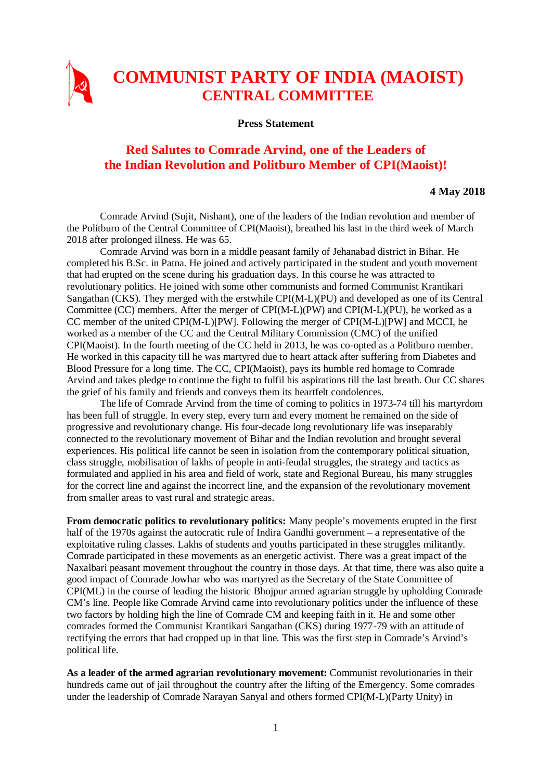

## **COMMUNIST PARTY OF INDIA (MAOIST) CENTRAL COMMITTEE**

**Press Statement**

## **Red Salutes to Comrade Arvind, one of the Leaders of the Indian Revolution and Politburo Member of CPI(Maoist)!**

## **4 May 2018**

Comrade Arvind (Sujit, Nishant), one of the leaders of the Indian revolution and member of the Politburo of the Central Committee of CPI(Maoist), breathed his last in the third week of March 2018 after prolonged illness. He was 65.

 Comrade Arvind was born in a middle peasant family of Jehanabad district in Bihar. He completed his B.Sc. in Patna. He joined and actively participated in the student and youth movement that had erupted on the scene during his graduation days. In this course he was attracted to revolutionary politics. He joined with some other communists and formed Communist Krantikari Sangathan (CKS). They merged with the erstwhile CPI(M-L)(PU) and developed as one of its Central Committee (CC) members. After the merger of CPI(M-L)(PW) and CPI(M-L)(PU), he worked as a CC member of the united CPI(M-L)[PW]. Following the merger of CPI(M-L)[PW] and MCCI, he worked as a member of the CC and the Central Military Commission (CMC) of the unified CPI(Maoist). In the fourth meeting of the CC held in 2013, he was co-opted as a Politburo member. He worked in this capacity till he was martyred due to heart attack after suffering from Diabetes and Blood Pressure for a long time. The CC, CPI(Maoist), pays its humble red homage to Comrade Arvind and takes pledge to continue the fight to fulfil his aspirations till the last breath. Our CC shares the grief of his family and friends and conveys them its heartfelt condolences.

The life of Comrade Arvind from the time of coming to politics in 1973-74 till his martyrdom has been full of struggle. In every step, every turn and every moment he remained on the side of progressive and revolutionary change. His four-decade long revolutionary life was inseparably connected to the revolutionary movement of Bihar and the Indian revolution and brought several experiences. His political life cannot be seen in isolation from the contemporary political situation, class struggle, mobilisation of lakhs of people in anti-feudal struggles, the strategy and tactics as formulated and applied in his area and field of work, state and Regional Bureau, his many struggles for the correct line and against the incorrect line, and the expansion of the revolutionary movement from smaller areas to vast rural and strategic areas.

**From democratic politics to revolutionary politics:** Many people's movements erupted in the first half of the 1970s against the autocratic rule of Indira Gandhi government – a representative of the exploitative ruling classes. Lakhs of students and youths participated in these struggles militantly. Comrade participated in these movements as an energetic activist. There was a great impact of the Naxalbari peasant movement throughout the country in those days. At that time, there was also quite a good impact of Comrade Jowhar who was martyred as the Secretary of the State Committee of CPI(ML) in the course of leading the historic Bhojpur armed agrarian struggle by upholding Comrade CM's line. People like Comrade Arvind came into revolutionary politics under the influence of these two factors by holding high the line of Comrade CM and keeping faith in it. He and some other comrades formed the Communist Krantikari Sangathan (CKS) during 1977-79 with an attitude of rectifying the errors that had cropped up in that line. This was the first step in Comrade's Arvind's political life.

**As a leader of the armed agrarian revolutionary movement:** Communist revolutionaries in their hundreds came out of jail throughout the country after the lifting of the Emergency. Some comrades under the leadership of Comrade Narayan Sanyal and others formed CPI(M-L)(Party Unity) in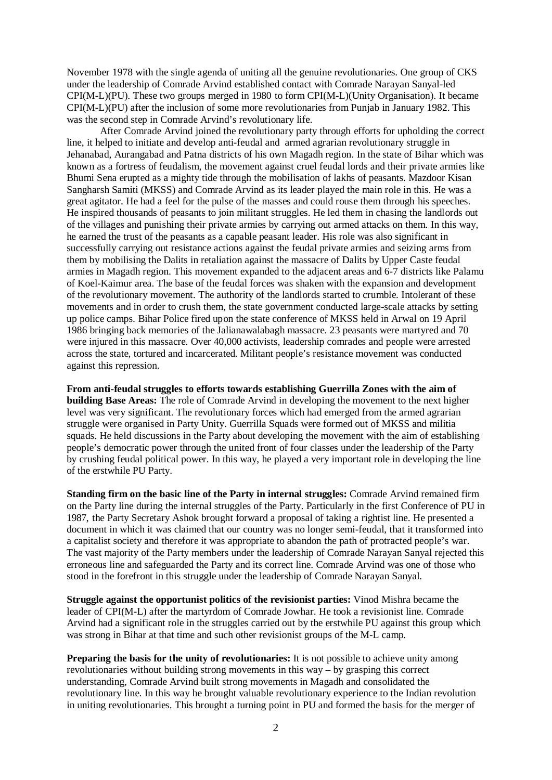November 1978 with the single agenda of uniting all the genuine revolutionaries. One group of CKS under the leadership of Comrade Arvind established contact with Comrade Narayan Sanyal-led CPI(M-L)(PU). These two groups merged in 1980 to form CPI(M-L)(Unity Organisation). It became CPI(M-L)(PU) after the inclusion of some more revolutionaries from Punjab in January 1982. This was the second step in Comrade Arvind's revolutionary life.

After Comrade Arvind joined the revolutionary party through efforts for upholding the correct line, it helped to initiate and develop anti-feudal and armed agrarian revolutionary struggle in Jehanabad, Aurangabad and Patna districts of his own Magadh region. In the state of Bihar which was known as a fortress of feudalism, the movement against cruel feudal lords and their private armies like Bhumi Sena erupted as a mighty tide through the mobilisation of lakhs of peasants. Mazdoor Kisan Sangharsh Samiti (MKSS) and Comrade Arvind as its leader played the main role in this. He was a great agitator. He had a feel for the pulse of the masses and could rouse them through his speeches. He inspired thousands of peasants to join militant struggles. He led them in chasing the landlords out of the villages and punishing their private armies by carrying out armed attacks on them. In this way, he earned the trust of the peasants as a capable peasant leader. His role was also significant in successfully carrying out resistance actions against the feudal private armies and seizing arms from them by mobilising the Dalits in retaliation against the massacre of Dalits by Upper Caste feudal armies in Magadh region. This movement expanded to the adjacent areas and 6-7 districts like Palamu of Koel-Kaimur area. The base of the feudal forces was shaken with the expansion and development of the revolutionary movement. The authority of the landlords started to crumble. Intolerant of these movements and in order to crush them, the state government conducted large-scale attacks by setting up police camps. Bihar Police fired upon the state conference of MKSS held in Arwal on 19 April 1986 bringing back memories of the Jalianawalabagh massacre. 23 peasants were martyred and 70 were injured in this massacre. Over 40,000 activists, leadership comrades and people were arrested across the state, tortured and incarcerated. Militant people's resistance movement was conducted against this repression.

**From anti-feudal struggles to efforts towards establishing Guerrilla Zones with the aim of building Base Areas:** The role of Comrade Arvind in developing the movement to the next higher level was very significant. The revolutionary forces which had emerged from the armed agrarian struggle were organised in Party Unity. Guerrilla Squads were formed out of MKSS and militia squads. He held discussions in the Party about developing the movement with the aim of establishing people's democratic power through the united front of four classes under the leadership of the Party by crushing feudal political power. In this way, he played a very important role in developing the line of the erstwhile PU Party.

**Standing firm on the basic line of the Party in internal struggles:** Comrade Arvind remained firm on the Party line during the internal struggles of the Party. Particularly in the first Conference of PU in 1987, the Party Secretary Ashok brought forward a proposal of taking a rightist line. He presented a document in which it was claimed that our country was no longer semi-feudal, that it transformed into a capitalist society and therefore it was appropriate to abandon the path of protracted people's war. The vast majority of the Party members under the leadership of Comrade Narayan Sanyal rejected this erroneous line and safeguarded the Party and its correct line. Comrade Arvind was one of those who stood in the forefront in this struggle under the leadership of Comrade Narayan Sanyal.

**Struggle against the opportunist politics of the revisionist parties:** Vinod Mishra became the leader of CPI(M-L) after the martyrdom of Comrade Jowhar. He took a revisionist line. Comrade Arvind had a significant role in the struggles carried out by the erstwhile PU against this group which was strong in Bihar at that time and such other revisionist groups of the M-L camp.

**Preparing the basis for the unity of revolutionaries:** It is not possible to achieve unity among revolutionaries without building strong movements in this way – by grasping this correct understanding, Comrade Arvind built strong movements in Magadh and consolidated the revolutionary line. In this way he brought valuable revolutionary experience to the Indian revolution in uniting revolutionaries. This brought a turning point in PU and formed the basis for the merger of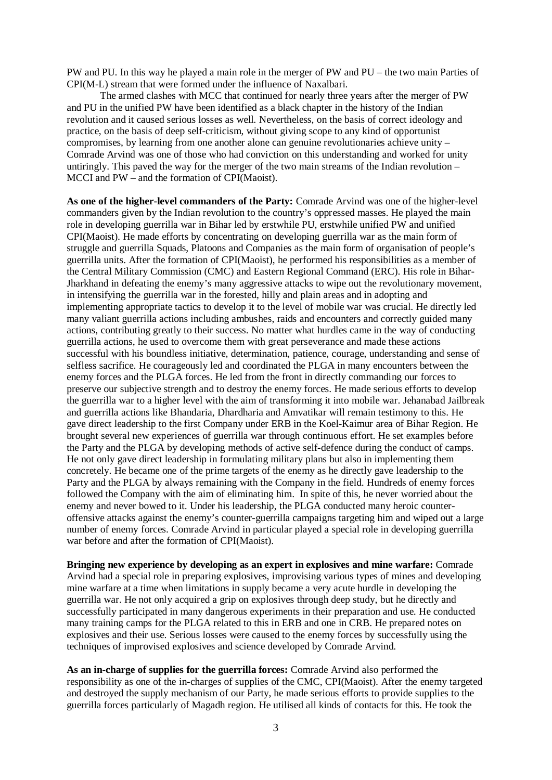PW and PU. In this way he played a main role in the merger of PW and PU – the two main Parties of CPI(M-L) stream that were formed under the influence of Naxalbari.

The armed clashes with MCC that continued for nearly three years after the merger of PW and PU in the unified PW have been identified as a black chapter in the history of the Indian revolution and it caused serious losses as well. Nevertheless, on the basis of correct ideology and practice, on the basis of deep self-criticism, without giving scope to any kind of opportunist compromises, by learning from one another alone can genuine revolutionaries achieve unity – Comrade Arvind was one of those who had conviction on this understanding and worked for unity untiringly. This paved the way for the merger of the two main streams of the Indian revolution – MCCI and PW – and the formation of CPI(Maoist).

**As one of the higher-level commanders of the Party:** Comrade Arvind was one of the higher-level commanders given by the Indian revolution to the country's oppressed masses. He played the main role in developing guerrilla war in Bihar led by erstwhile PU, erstwhile unified PW and unified CPI(Maoist). He made efforts by concentrating on developing guerrilla war as the main form of struggle and guerrilla Squads, Platoons and Companies as the main form of organisation of people's guerrilla units. After the formation of CPI(Maoist), he performed his responsibilities as a member of the Central Military Commission (CMC) and Eastern Regional Command (ERC). His role in Bihar-Jharkhand in defeating the enemy's many aggressive attacks to wipe out the revolutionary movement, in intensifying the guerrilla war in the forested, hilly and plain areas and in adopting and implementing appropriate tactics to develop it to the level of mobile war was crucial. He directly led many valiant guerrilla actions including ambushes, raids and encounters and correctly guided many actions, contributing greatly to their success. No matter what hurdles came in the way of conducting guerrilla actions, he used to overcome them with great perseverance and made these actions successful with his boundless initiative, determination, patience, courage, understanding and sense of selfless sacrifice. He courageously led and coordinated the PLGA in many encounters between the enemy forces and the PLGA forces. He led from the front in directly commanding our forces to preserve our subjective strength and to destroy the enemy forces. He made serious efforts to develop the guerrilla war to a higher level with the aim of transforming it into mobile war. Jehanabad Jailbreak and guerrilla actions like Bhandaria, Dhardharia and Amvatikar will remain testimony to this. He gave direct leadership to the first Company under ERB in the Koel-Kaimur area of Bihar Region. He brought several new experiences of guerrilla war through continuous effort. He set examples before the Party and the PLGA by developing methods of active self-defence during the conduct of camps. He not only gave direct leadership in formulating military plans but also in implementing them concretely. He became one of the prime targets of the enemy as he directly gave leadership to the Party and the PLGA by always remaining with the Company in the field. Hundreds of enemy forces followed the Company with the aim of eliminating him. In spite of this, he never worried about the enemy and never bowed to it. Under his leadership, the PLGA conducted many heroic counteroffensive attacks against the enemy's counter-guerrilla campaigns targeting him and wiped out a large number of enemy forces. Comrade Arvind in particular played a special role in developing guerrilla war before and after the formation of CPI(Maoist).

**Bringing new experience by developing as an expert in explosives and mine warfare:** Comrade Arvind had a special role in preparing explosives, improvising various types of mines and developing mine warfare at a time when limitations in supply became a very acute hurdle in developing the guerrilla war. He not only acquired a grip on explosives through deep study, but he directly and successfully participated in many dangerous experiments in their preparation and use. He conducted many training camps for the PLGA related to this in ERB and one in CRB. He prepared notes on explosives and their use. Serious losses were caused to the enemy forces by successfully using the techniques of improvised explosives and science developed by Comrade Arvind.

**As an in-charge of supplies for the guerrilla forces:** Comrade Arvind also performed the responsibility as one of the in-charges of supplies of the CMC, CPI(Maoist). After the enemy targeted and destroyed the supply mechanism of our Party, he made serious efforts to provide supplies to the guerrilla forces particularly of Magadh region. He utilised all kinds of contacts for this. He took the